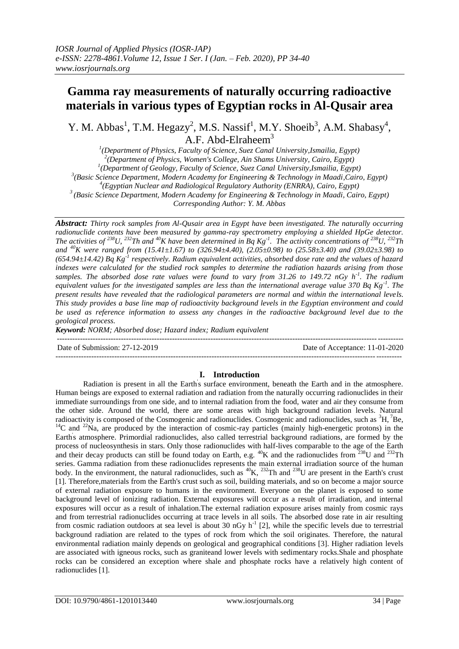# **Gamma ray measurements of naturally occurring radioactive materials in various types of Egyptian rocks in Al-Qusair area**

Y. M. Abbas<sup>1</sup>, T.M. Hegazy<sup>2</sup>, M.S. Nassif<sup>1</sup>, M.Y. Shoeib<sup>3</sup>, A.M. Shabasy<sup>4</sup>, A.F. Abd-Elraheem<sup>3</sup>

 *(Department of Physics, Faculty of Science, Suez Canal University,Ismailia, Egypt) (Department of Physics, Women's College, Ain Shams University, Cairo, Egypt) (Department of Geology, Faculty of Science, Suez Canal University,Ismailia, Egypt) (Basic Science Department, Modern Academy for Engineering & Technology in Maadi,Cairo, Egypt) (Egyptian Nuclear and Radiological Regulatory Authority (ENRRA), Cairo, Egypt) (Basic Science Department, Modern Academy for Engineering & Technology in Maadi, Cairo, Egypt) Corresponding Author: Y. M. Abbas*

*Abstract: Thirty rock samples from Al-Qusair area in Egypt have been investigated. The naturally occurring radionuclide contents have been measured by gamma-ray spectrometry employing a shielded HpGe detector. The activities of*  $^{238}U$ ,  $^{232}Th$  and  $^{40}K$  have been determined in Bq Kg<sup>-1</sup>. The activity concentrations of  $^{238}U$ ,  $^{232}Th$ *and <sup>40</sup>K were ranged from (15.41±1.67) to (326.94±4.40), (2.05±0.98) to (25.58±3.40) and (39.02±3.98) to (654.94±14.42) Bq Kg-1 respectively. Radium equivalent activities, absorbed dose rate and the values of hazard indexes were calculated for the studied rock samples to determine the radiation hazards arising from those samples. The absorbed dose rate values were found to vary from 31.26 to 149.72 nGy h-1 . The radium equivalent values for the investigated samples are less than the international average value 370 Bq Kg-1 . The present results have revealed that the radiological parameters are normal and within the international levels. This study provides a base line map of radioactivity background levels in the Egyptian environment and could be used as reference information to assess any changes in the radioactive background level due to the geological process.*

*Keyword: NORM; Absorbed dose; Hazard index; Radium equivalent*

--------------------------------------------------------------------------------------------------------------------------------------- Date of Submission: 27-12-2019 Date of Acceptance: 11-01-2020

# **I. Introduction**

---------------------------------------------------------------------------------------------------------------------------------------

Radiation is present in all the Earth's surface environment, beneath the Earth and in the atmosphere. Human beings are exposed to external radiation and radiation from the naturally occurring radionuclides in their immediate surroundings from one side, and to internal radiation from the food, water and air they consume from the other side. Around the world, there are some areas with high background radiation levels. Natural radioactivity is composed of the Cosmogenic and radionuclides. Cosmogenic and radionuclides, such as <sup>3</sup>H, <sup>7</sup>Be, <sup>14</sup>C and <sup>22</sup>N<sub>a</sub>, are produced by the interaction of cosmic-ray particles (mainly high-energetic protons) in the Earth's atmosphere. Primordial radionuclides, also called terrestrial background radiations, are formed by the process of nucleosynthesis in stars. Only those radionuclides with half-lives comparable to the age of the Earth and their decay products can still be found today on Earth, e.g.  $^{40}K$  and the radionuclides from  $^{238}U$  and  $^{232}Th$ series. Gamma radiation from these radionuclides represents the main external irradiation source of the human body. In the environment, the natural radionuclides, such as  ${}^{40}K$ ,  ${}^{232}Th$  and  ${}^{238}U$  are present in the Earth's crust [1]. Therefore,materials from the Earth's crust such as soil, building materials, and so on become a major source of external radiation exposure to humans in the environment. Everyone on the planet is exposed to some background level of ionizing radiation. External exposures will occur as a result of irradiation, and internal exposures will occur as a result of inhalation.The external radiation exposure arises mainly from cosmic rays and from terrestrial radionuclides occurring at trace levels in all soils. The absorbed dose rate in air resulting from cosmic radiation outdoors at sea level is about 30 nGy  $h^{-1}$  [2], while the specific levels due to terrestrial background radiation are related to the types of rock from which the soil originates. Therefore, the natural environmental radiation mainly depends on geological and geographical conditions [3]. Higher radiation levels are associated with igneous rocks, such as graniteand lower levels with sedimentary rocks.Shale and phosphate rocks can be considered an exception where shale and phosphate rocks have a relatively high content of radionuclides [1].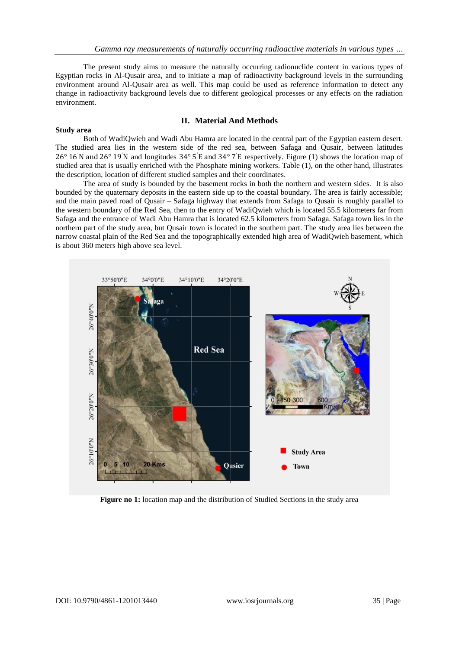The present study aims to measure the naturally occurring radionuclide content in various types of Egyptian rocks in Al-Qusair area, and to initiate a map of radioactivity background levels in the surrounding environment around Al-Qusair area as well. This map could be used as reference information to detect any change in radioactivity background levels due to different geological processes or any effects on the radiation environment.

# **II. Material And Methods**

## **Study area**

Both of WadiQwieh and Wadi Abu Hamra are located in the central part of the Egyptian eastern desert. The studied area lies in the western side of the red sea, between Safaga and Qusair, between latitudes 26° 16′N and 26° 19′N and longitudes 34° 5 ′E and 34° 7 ′E respectively. Figure (1) shows the location map of studied area that is usually enriched with the Phosphate mining workers. Table (1), on the other hand, illustrates the description, location of different studied samples and their coordinates.

The area of study is bounded by the basement rocks in both the northern and western sides. It is also bounded by the quaternary deposits in the eastern side up to the coastal boundary. The area is fairly accessible; and the main paved road of Qusair – Safaga highway that extends from Safaga to Qusair is roughly parallel to the western boundary of the Red Sea, then to the entry of WadiQwieh which is located 55.5 kilometers far from Safaga and the entrance of Wadi Abu Hamra that is located 62.5 kilometers from Safaga. Safaga town lies in the northern part of the study area, but Qusair town is located in the southern part. The study area lies between the narrow coastal plain of the Red Sea and the topographically extended high area of WadiQwieh basement, which is about 360 meters high above sea level.



**Figure no 1:** location map and the distribution of Studied Sections in the study area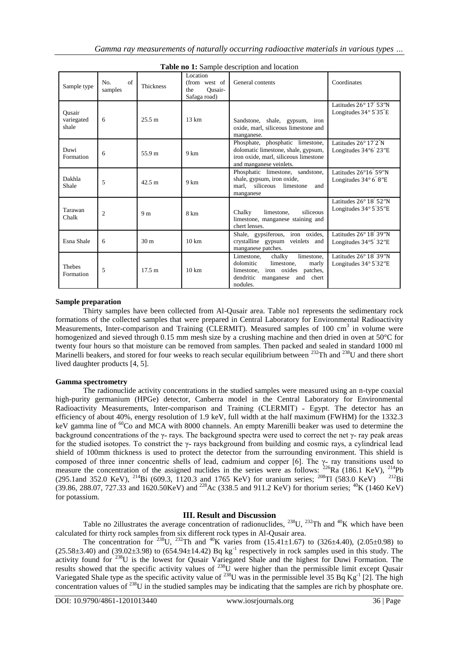| Sample type                   | $\alpha$ f<br>No.<br>samples | <b>Thickness</b> | Location<br>(from west of<br>Ousair-<br>the<br>Safaga road) | General contents                                                                                                                                             | Coordinates                                                         |
|-------------------------------|------------------------------|------------------|-------------------------------------------------------------|--------------------------------------------------------------------------------------------------------------------------------------------------------------|---------------------------------------------------------------------|
| Ousair<br>variegated<br>shale | 6                            | 25.5 m           | $13 \text{ km}$                                             | Sandstone, shale, gypsum, iron<br>oxide, marl, siliceous limestone and<br>manganese.                                                                         | Latitudes $26^{\circ}$ 17' 53"N<br>Longitudes $34^{\circ}$ 5'35"E   |
| Duwi<br>Formation             | 6                            | 55.9 m           | 9 km                                                        | Phosphate, phosphatic limestone,<br>dolomatic limestone, shale, gypsum,<br>iron oxide, marl, siliceous limestone<br>and manganese veinlets.                  | Latitudes $26^{\circ} 17'2''$ N<br>Longitudes 34°6' 23"E            |
| Dakhla<br>Shale               | 5                            | 42.5 m           | 9 km                                                        | Phosphatic limestone, sandstone,<br>shale, gypsum, iron oxide,<br>marl. siliceous limestone<br>and<br>manganese                                              | Latitudes $26^{\circ}16'$ 59"N<br>Longitudes $34^{\circ}$ 6' 8"E    |
| Tarawan<br>Chalk              | $\overline{c}$               | 9 <sub>m</sub>   | 8 km                                                        | limestone.<br>siliceous<br>Chalky<br>limestone, manganese staining and<br>chert lenses.                                                                      | Latitudes 26° 18' 52"N<br>Longitudes $34^{\circ}$ 5'35"E            |
| Esna Shale                    | 6                            | 30 <sub>m</sub>  | $10 \text{ km}$                                             | Shale, gypsiferous, iron oxides,<br>crystalline gypsum veinlets and<br>manganese patches.                                                                    | Latitudes 26° 18' 39"N<br>Longitudes 34°5' 32"E                     |
| <b>Thebes</b><br>Formation    | 5                            | 17.5 m           | $10 \text{ km}$                                             | limestone,<br>Limestone,<br>chalky<br>dolomitic<br>limestone.<br>marly<br>limestone, iron oxides patches,<br>dendritic<br>and chert<br>manganese<br>nodules. | Latitudes $26^{\circ} 18' 39''$ N<br>Longitudes $34^{\circ}$ 5'32"E |

**Table no 1:** Sample description and location

## **Sample preparation**

Thirty samples have been collected from Al-Qusair area. Table no1 represents the sedimentary rock formations of the collected samples that were prepared in Central Laboratory for Environmental Radioactivity Measurements, Inter-comparison and Training (CLERMIT). Measured samples of 100 cm<sup>3</sup> in volume were homogenized and sieved through 0.15 mm mesh size by a crushing machine and then dried in oven at 50°C for twenty four hours so that moisture can be removed from samples. Then packed and sealed in standard 1000 ml Marinelli beakers, and stored for four weeks to reach secular equilibrium between <sup>232</sup>Th and <sup>238</sup>U and there short lived daughter products [4, 5].

## **Gamma spectrometry**

The radionuclide activity concentrations in the studied samples were measured using an n-type coaxial high-purity germanium (HPGe) detector, Canberra model in the Central Laboratory for Environmental Radioactivity Measurements, Inter-comparison and Training (CLERMIT) - Egypt. The detector has an efficiency of about 40%, energy resolution of 1.9 keV, full width at the half maximum (FWHM) for the 1332.3 keV gamma line of <sup>60</sup>Co and MCA with 8000 channels. An empty Marenilli beaker was used to determine the background concentrations of the  $\gamma$ - rays. The background spectra were used to correct the net  $\gamma$ - ray peak areas for the studied isotopes. To constrict the  $\gamma$ - rays background from building and cosmic rays, a cylindrical lead shield of 100mm thickness is used to protect the detector from the surrounding environment. This shield is composed of three inner concentric shells of lead, cadmium and copper [6]. The  $\gamma$ - ray transitions used to measure the concentration of the assigned nuclides in the series were as follows:  $^{226}Ra$  (186.1 KeV),  $^{214}Pb$ (295.1and 352.0 KeV), <sup>214</sup>Bi (609.3, 1120.3 and 1765 KeV) for uranium series; <sup>208</sup>Tl (583.0 KeV) <sup>212</sup>Bi (39.86, 288.07, 727.33 and 1620.50KeV) and <sup>228</sup>Ac (338.5 and 911.2 KeV) for thorium series; <sup>40</sup>K (1460 KeV) for potassium.

# **III. Result and Discussion**

Table no 2illustrates the average concentration of radionuclides,  $^{238}$ U,  $^{232}$ Th and  $^{40}$ K which have been calculated for thirty rock samples from six different rock types in Al-Qusair area.

The concentration for <sup>238</sup>U, <sup>232</sup>Th and <sup>40</sup>K varies from (15.41±1.67) to (326±4.40), (2.05±0.98) to  $(25.58\pm3.40)$  and  $(39.02\pm3.98)$  to  $(654.94\pm14.42)$  Bq kg<sup>-1</sup> respectively in rock samples used in this study. The activity found for <sup>238</sup>U is the lowest for Qusair Variegated Shale and the highest for Duwi Formation. The results showed that the specific activity values of  $^{238}$ U were higher than the permissible limit except Qusair Variegated Shale type as the specific activity value of  $^{238}$ U was in the permissible level 35 Bq Kg<sup>-1</sup> [2]. The high concentration values of <sup>238</sup>U in the studied samples may be indicating that the samples are rich by phosphate ore.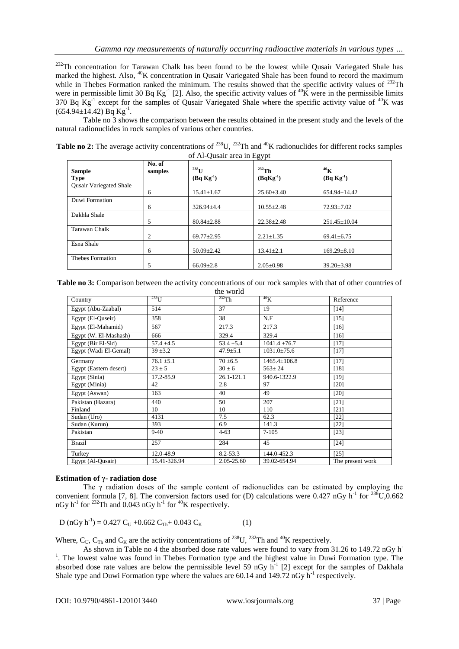<sup>232</sup>Th concentration for Tarawan Chalk has been found to be the lowest while Qusair Variegated Shale has marked the highest. Also, <sup>40</sup>K concentration in Ousair Variegated Shale has been found to record the maximum while in Thebes Formation ranked the minimum. The results showed that the specific activity values of <sup>232</sup>Th were in permissible limit 30 Bq  $\text{Kg}^{-1}$  [2]. Also, the specific activity values of <sup>40</sup>K were in the permissible limits 370 Bq  $Kg^{-1}$  except for the samples of Qusair Variegated Shale where the specific activity value of  ${}^{40}K$  was  $(654.94 \pm 14.42)$  Bq Kg<sup>-1</sup>.

Table no 3 shows the comparison between the results obtained in the present study and the levels of the natural radionuclides in rock samples of various other countries.

| <b>Table no 2:</b> The average activity concentrations of <sup>238</sup> U, <sup>232</sup> Th and <sup>40</sup> K radionuclides for different rocks samples |
|-------------------------------------------------------------------------------------------------------------------------------------------------------------|
| of Al-Qusair area in Egypt                                                                                                                                  |

|                         | No. of  |                  |                  |                    |
|-------------------------|---------|------------------|------------------|--------------------|
| <b>Sample</b>           | samples | $^{238}$ U       | $232$ Th         | 40 <sub>K</sub>    |
| <b>Type</b>             |         | $(Bq Kg^{-1})$   | $(BqKg^{-1})$    | $(Bq Kg^{-1})$     |
| Qusair Variegated Shale |         |                  |                  |                    |
|                         | 6       | $15.41 \pm 1.67$ | $25.60 \pm 3.40$ | $654.94 \pm 14.42$ |
| Duwi Formation          |         |                  |                  |                    |
|                         | 6       | $326.94 \pm 4.4$ | $10.55 \pm 2.48$ | $72.93 \pm 7.02$   |
| Dakhla Shale            |         |                  |                  |                    |
|                         | 5       | $80.84 \pm 2.88$ | $22.38 \pm 2.48$ | $251.45 \pm 10.04$ |
| Tarawan Chalk           |         |                  |                  |                    |
|                         | 2       | $69.77 \pm 2.95$ | $2.21 \pm 1.35$  | $69.41 \pm 6.75$   |
| Esna Shale              |         |                  |                  |                    |
|                         | 6       | $50.09 \pm 2.42$ | $13.41 \pm 2.1$  | $169.29 \pm 8.10$  |
| Thebes Formation        |         |                  |                  |                    |
|                         | 5       | $66.09 \pm 2.8$  | $2.05 \pm 0.98$  | $39.20 \pm 3.98$   |

**Table no 3:** Comparison between the activity concentrations of our rock samples with that of other countries of the world

| Country                | $^{238}$ U     | $^{232}$ Th    | 40 <sub>K</sub>    | Reference        |
|------------------------|----------------|----------------|--------------------|------------------|
| Egypt (Abu-Zaabal)     | 514            | 37             | 19                 | $[14]$           |
| Egypt (El-Quseir)      | 358            | 38             | N.F                | $[15]$           |
| Egypt (El-Mahamid)     | 567            | 217.3          | 217.3              | $[16]$           |
| Egypt (W. El-Mashash)  | 666            | 329.4          | 329.4              | [16]             |
| Egypt (Bir El-Sid)     | $57.4 \pm 4.5$ | $53.4 \pm 5.4$ | $1041.4 \pm 76.7$  | $[17]$           |
| Egypt (Wadi El-Gemal)  | $39 + 3.2$     | $47.9 \pm 5.1$ | $1031.0\pm75.6$    | $[17]$           |
| Germany                | $76.1 \pm 5.1$ | $70 \pm 6.5$   | $1465.4 \pm 106.8$ | [17]             |
| Egypt (Eastern desert) | $23 \pm 5$     | $30 \pm 6$     | $563 \pm 24$       | $[18]$           |
| Egypt (Sinia)          | 17.2-85.9      | 26.1-121.1     | 940.6-1322.9       | [19]             |
| Egypt (Minia)          | 42             | 2.8            | 97                 | [20]             |
| Egypt (Aswan)          | 163            | 40             | 49                 | $[20]$           |
| Pakistan (Hazara)      | 440            | 50             | 207                | [21]             |
| Finland                | 10             | 10             | 110                | [21]             |
| Sudan (Uro)            | 4131           | 7.5            | 62.3               | $[22]$           |
| Sudan (Kurun)          | 393            | 6.9            | 141.3              | $[22]$           |
| Pakistan               | $9-40$         | $4 - 63$       | $7 - 105$          | $[23]$           |
| <b>Brazil</b>          | 257            | 284            | 45                 | $[24]$           |
| Turkey                 | 12.0-48.9      | $8.2 - 53.3$   | 144.0-452.3        | $[25]$           |
| Egypt (Al-Qusair)      | 15.41-326.94   | 2.05-25.60     | 39.02-654.94       | The present work |

## **Estimation of γ- radiation dose**

The  $\gamma$  radiation doses of the sample content of radionuclides can be estimated by employing the convenient formula [7, 8]. The conversion factors used for (D) calculations were 0.427 nGy  $h^{-1}$  for  $^{238}U$ ,0.662 nGy h<sup>-1</sup> for <sup>232</sup>Th and 0.043 nGy h<sup>-1</sup> for <sup>40</sup>K respectively.

$$
D (nGy h-1) = 0.427 CU + 0.662 CTh + 0.043 CK
$$
 (1)

Where,  $C_{U}$ ,  $C_{T}$  and  $C_{K}$  are the activity concentrations of <sup>238</sup>U, <sup>232</sup>Th and <sup>40</sup>K respectively.

As shown in Table no 4 the absorbed dose rate values were found to vary from 31.26 to 149.72 nGy h-<sup>1</sup>. The lowest value was found in Thebes Formation type and the highest value in Duwi Formation type. The absorbed dose rate values are below the permissible level 59 nGy  $h^{-1}$  [2] except for the samples of Dakhala Shale type and Duwi Formation type where the values are  $60.14$  and  $149.72$  nGy  $h^{-1}$  respectively.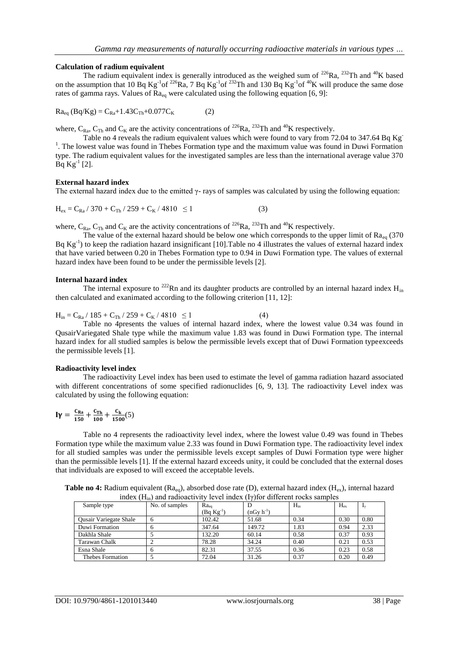## **Calculation of radium equivalent**

The radium equivalent index is generally introduced as the weighed sum of  $^{226}Ra$ ,  $^{232}Th$  and  $^{40}K$  based on the assumption that 10 Bq Kg<sup>-1</sup> of <sup>226</sup>Ra, 7 Bq Kg<sup>-1</sup> of <sup>232</sup>Th and 130 Bq Kg<sup>-1</sup> of <sup>40</sup>K will produce the same dose rates of gamma rays. Values of  $Ra_{eq}$  were calculated using the following equation [6, 9]:

$$
Ra_{eq} (Bq/Kg) = C_{Ra} + 1.43C_{Th} + 0.077C_K
$$
 (2)

where,  $C_{\text{Ra}}$ ,  $C_{\text{Th}}$  and  $C_{\text{K}}$  are the activity concentrations of <sup>226</sup>Ra, <sup>232</sup>Th and <sup>40</sup>K respectively.

Table no 4 reveals the radium equivalent values which were found to vary from 72.04 to 347.64 Bq Kg<sup>-</sup> <sup>1</sup>. The lowest value was found in Thebes Formation type and the maximum value was found in Duwi Formation type. The radium equivalent values for the investigated samples are less than the international average value 370  $\overline{Bq}$  Kg<sup>-1</sup> [2].

## **External hazard index**

The external hazard index due to the emitted  $\gamma$ - rays of samples was calculated by using the following equation:

$$
H_{ex} = C_{Ra} / 370 + C_{Th} / 259 + C_K / 4810 \le 1
$$
 (3)

where,  $C_{\text{Ra}}$ ,  $C_{\text{Th}}$  and  $C_{\text{K}}$  are the activity concentrations of <sup>226</sup>Ra, <sup>232</sup>Th and <sup>40</sup>K respectively.

The value of the external hazard should be below one which corresponds to the upper limit of  $Ra_{eq}$  (370) Bq  $Kg^{-1}$ ) to keep the radiation hazard insignificant [10]. Table no 4 illustrates the values of external hazard index that have varied between 0.20 in Thebes Formation type to 0.94 in Duwi Formation type. The values of external hazard index have been found to be under the permissible levels [2].

## **Internal hazard index**

The internal exposure to <sup>222</sup>Rn and its daughter products are controlled by an internal hazard index  $H_{in}$ then calculated and exanimated according to the following criterion [11, 12]:

 $H_{in} = C_{Ra} / 185 + C_{Th} / 259 + C_K / 4810 \le 1$  (4)

Table no 4presents the values of internal hazard index, where the lowest value 0.34 was found in QusairVariegated Shale type while the maximum value 1.83 was found in Duwi Formation type. The internal hazard index for all studied samples is below the permissible levels except that of Duwi Formation typeexceeds the permissible levels [1].

## **Radioactivity level index**

The radioactivity Level index has been used to estimate the level of gamma radiation hazard associated with different concentrations of some specified radionuclides [6, 9, 13]. The radioactivity Level index was calculated by using the following equation:

$$
I\gamma = \frac{c_{Ra}}{150} + \frac{c_{Th}}{100} + \frac{c_k}{1500}(5)
$$

Table no 4 represents the radioactivity level index, where the lowest value 0.49 was found in Thebes Formation type while the maximum value 2.33 was found in Duwi Formation type. The radioactivity level index for all studied samples was under the permissible levels except samples of Duwi Formation type were higher than the permissible levels [1]. If the external hazard exceeds unity, it could be concluded that the external doses that individuals are exposed to will exceed the acceptable levels.

Table no 4: Radium equivalent (Ra<sub>eq</sub>), absorbed dose rate (D), external hazard index (H<sub>ex</sub>), internal hazard index  $(H_{in})$  and radioactivity level index  $(I\gamma)$  for different rocks samples

|                        | $\cdots$       |                | .              |          |          |      |
|------------------------|----------------|----------------|----------------|----------|----------|------|
| Sample type            | No. of samples | $Ra_{eq}$      | D              | $H_{in}$ | $H_{ex}$ |      |
|                        |                | $(Bq Kg^{-1})$ | $(nGv h^{-1})$ |          |          |      |
| Qusair Variegate Shale |                | 102.42         | 51.68          | 0.34     | 0.30     | 0.80 |
| Duwi Formation         |                | 347.64         | 149.72         | 1.83     | 0.94     | 2.33 |
| Dakhla Shale           |                | 132.20         | 60.14          | 0.58     | 0.37     | 0.93 |
| <b>Tarawan Chalk</b>   |                | 78.28          | 34.24          | 0.40     | 0.21     | 0.53 |
| Esna Shale             |                | 82.31          | 37.55          | 0.36     | 0.23     | 0.58 |
| Thebes Formation       |                | 72.04          | 31.26          | 0.37     | 0.20     | 0.49 |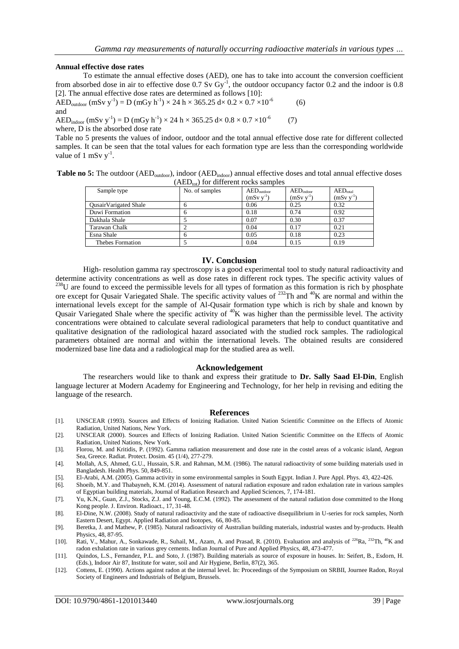(6)

#### **Annual effective dose rates**

To estimate the annual effective doses (AED), one has to take into account the conversion coefficient from absorbed dose in air to effective dose  $0.7 \text{ Sv } Gy^{-1}$ , the outdoor occupancy factor 0.2 and the indoor is 0.8 [2]. The annual effective dose rates are determined as follows [10]:

AED<sub>outdoor</sub> (mSv y<sup>-1</sup>) = D (mGy h<sup>-1</sup>) × 24 h × 365.25 d× 0.2 × 0.7 ×10<sup>-6</sup> and

 $\mathrm{AED}_{\mathrm{indoor}}\,(\mathrm{mSv}\;\mathrm{y}^{-1}) = \mathrm{D}\;(\mathrm{mGy}\;\mathrm{h}^{-1}) \times 24\;\mathrm{h} \times 365.25\;\mathrm{d} \times 0.8 \times 0.7 \times 10^{-6}$  (7) where, D is the absorbed dose rate

Table no 5 presents the values of indoor, outdoor and the total annual effective dose rate for different collected samples. It can be seen that the total values for each formation type are less than the corresponding worldwide value of 1 mSv  $y^{-1}$ .

**Table no 5:** The outdoor (AED<sub>outdoor</sub>), indoor (AED<sub>indoor</sub>) annual effective doses and total annual effective doses  $(AED_{tot})$  for different rocks samples

|                         | $\cdots$       |                        |                |               |
|-------------------------|----------------|------------------------|----------------|---------------|
| Sample type             | No. of samples | $AED_{\text{outdoor}}$ | $AED_{indoor}$ | $AED_{total}$ |
|                         |                | $(mSv v^{-1})$         | $(mSv v^{-1})$ | $(mSv v-1)$   |
| QusairVarigated Shale   | n              | 0.06                   | 0.25           | 0.32          |
| Duwi Formation          |                | 0.18                   | 0.74           | 0.92          |
| Dakhala Shale           |                | 0.07                   | 0.30           | 0.37          |
| Tarawan Chalk           |                | 0.04                   | 0.17           | 0.21          |
| Esna Shale              | n              | 0.05                   | 0.18           | 0.23          |
| <b>Thebes Formation</b> |                | 0.04                   | 0.15           | 0.19          |

#### **IV. Conclusion**

High- resolution gamma ray spectroscopy is a good experimental tool to study natural radioactivity and determine activity concentrations as well as dose rates in different rock types. The specific activity values of  $^{238}$ U are found to exceed the permissible levels for all types of formation as this formation is rich by phosphate ore except for Qusair Variegated Shale. The specific activity values of <sup>232</sup>Th and <sup>40</sup>K are normal and within the international levels except for the sample of Al-Qusair formation type which is rich by shale and known by Qusair Variegated Shale where the specific activity of  $40K$  was higher than the permissible level. The activity concentrations were obtained to calculate several radiological parameters that help to conduct quantitative and qualitative designation of the radiological hazard associated with the studied rock samples. The radiological parameters obtained are normal and within the international levels. The obtained results are considered modernized base line data and a radiological map for the studied area as well.

#### **Acknowledgement**

The researchers would like to thank and express their gratitude to **Dr. Sally Saad El-Din**, English language lecturer at Modern Academy for Engineering and Technology, for her help in revising and editing the language of the research.

#### **References**

- [1]. UNSCEAR (1993). Sources and Effects of Ionizing Radiation. United Nation Scientific Committee on the Effects of Atomic Radiation, United Nations, New York.
- [2]. UNSCEAR (2000). Sources and Effects of Ionizing Radiation. United Nation Scientific Committee on the Effects of Atomic Radiation, United Nations, New York.
- [3]. Florou, M. and Kritidis, P. (1992). Gamma radiation measurement and dose rate in the costel areas of a volcanic island, Aegean Sea, Greece. Radiat. Protect. Dosim. 45 (1/4), 277-279.
- [4]. Mollah, A.S, Ahmed, G.U., Hussain, S.R. and Rahman, M.M. (1986). The natural radioactivity of some building materials used in Bangladesh. Health Phys. 50, 849-851.
- [5]. El-Arabi, A.M. (2005). Gamma activity in some environmental samples in South Egypt. Indian J. Pure Appl. Phys. 43, 422-426.
- [6]. Shoeib, M.Y. and Thabayneh, K.M. (2014). Assessment of natural radiation exposure and radon exhalation rate in various samples of Egyptian building materials, Journal of Radiation Research and Applied Sciences, 7, 174-181.
- [7]. Yu, K.N., Guan, Z.J., Stocks, Z.J. and Young, E.C.M. (1992). The assessment of the natural radiation dose committed to the Hong Kong people. J. Environ. Radioact., 17, 31-48.
- [8]. El-Dine, N.W. (2008). Study of natural radioactivity and the state of radioactive disequilibrium in U-series for rock samples, North Eastern Desert, Egypt[. Applied Radiation and Isotopes,](https://www.sciencedirect.com/science/journal/09698043) [66,](https://www.sciencedirect.com/science/journal/09698043/66/1) 80-85.
- [9]. Beretka, J. and Mathew, P. (1985). Natural radioactivity of Australian building materials, industrial wastes and by-products. Health Physics, 48, 87-95.
- [10]. Rati, V., Mahur, A., Sonkawade, R., Suhail, M., Azam, A. and Prasad, R. (2010). Evaluation and analysis of <sup>226</sup>Ra, <sup>232</sup>Th, <sup>40</sup>K and radon exhalation rate in various grey cements. Indian Journal of Pure and Applied Physics, 48, 473-477.
- [11]. Quindos, L.S., Fernandez, P.L. and Soto, J. (1987). Building materials as source of exposure in houses. In: Seifert, B., Esdorn, H. (Eds.), Indoor Air 87, Institute for water, soil and Air Hygiene, Berlin, 87(2), 365.
- [12]. Cottens, E. (1990). Actions against radon at the internal level. In: Proceedings of the Symposium on SRBII, Journee Radon, Royal Society of Engineers and Industrials of Belgium, Brussels.